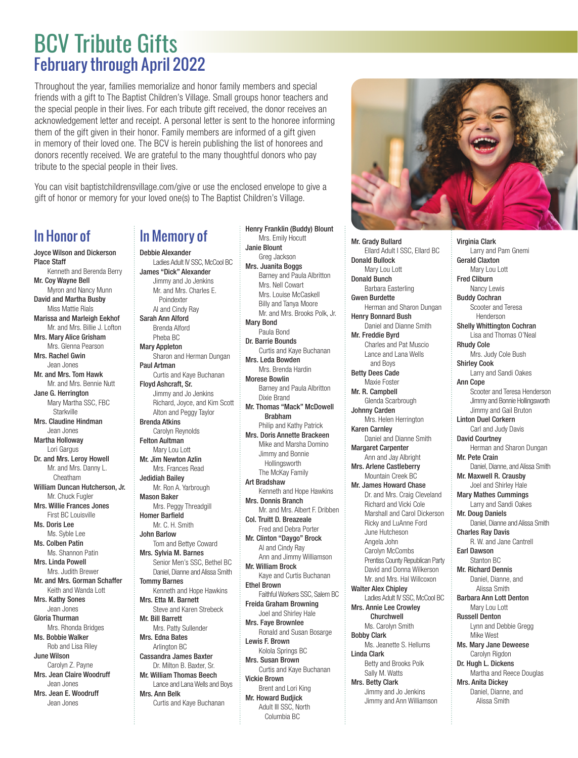## BCV Tribute Gifts February through April 2022

Throughout the year, families memorialize and honor family members and special friends with a gift to The Baptist Children's Village. Small groups honor teachers and the special people in their lives. For each tribute gift received, the donor receives an acknowledgement letter and receipt. A personal letter is sent to the honoree informing them of the gift given in their honor. Family members are informed of a gift given in memory of their loved one. The BCV is herein publishing the list of honorees and donors recently received. We are grateful to the many thoughtful donors who pay tribute to the special people in their lives.

You can visit baptistchildrensvillage.com/give or use the enclosed envelope to give a gift of honor or memory for your loved one(s) to The Baptist Children's Village.

## In Honor of

Joyce Wilson and Dickerson Place Staff Kenneth and Berenda Berry Mr. Coy Wayne Bell Myron and Nancy Munn David and Martha Busby Miss Mattie Rials Marissa and Marleigh Eekhof Mr. and Mrs. Billie J. Lofton Mrs. Mary Alice Grisham Mrs. Glenna Pearson Mrs. Rachel Gwin Jean Jones Mr. and Mrs. Tom Hawk Mr. and Mrs. Bennie Nutt Jane G. Herrington Mary Martha SSC, FBC **Starkville** Mrs. Claudine Hindman Jean Jones Martha Holloway Lori Gargus Dr. and Mrs. Leroy Howell Mr. and Mrs. Danny L. Cheatham William Duncan Hutcherson, Jr. Mr. Chuck Fugler Mrs. Willie Frances Jones First BC Louisville Ms. Doris Lee Ms. Syble Lee Ms. Colben Patin Ms. Shannon Patin Mrs. Linda Powell Mrs. Judith Brewer Mr. and Mrs. Gorman Schaffer Keith and Wanda Lott Mrs. Kathy Sones Jean Jones Gloria Thurman Mrs. Rhonda Bridges Ms. Bobbie Walker Rob and Lisa Riley June Wilson Carolyn Z. Payne Mrs. Jean Claire Woodruff Jean Jones Mrs. Jean E. Woodruff Jean Jones

## In Memory of Debbie Alexander Ladies Adult IV SSC, McCool BC James "Dick" Alexander Jimmy and Jo Jenkins Poindexter

Mr. and Mrs. Charles E. Al and Cindy Ray Sarah Ann Alford Brenda Alford Pheba BC Mary Appleton Sharon and Herman Dungan Paul Artman Curtis and Kaye Buchanan Floyd Ashcraft, Sr. Jimmy and Jo Jenkins Richard, Joyce, and Kim Scott Alton and Peggy Taylor Brenda Atkins Carolyn Reynolds Felton Aultman Mary Lou Lott Mr. Jim Newton Azlin Mrs. Frances Read Jedidiah Bailey Mr. Ron A. Yarbrough Mason Baker Mrs. Peggy Threadgill Homer Barfield Mr. C. H. Smith John Barlow Tom and Bettye Coward Mrs. Sylvia M. Barnes

> Senior Men's SSC, Bethel BC Daniel, Dianne and Alissa Smith

Kenneth and Hope Hawkins

Steve and Karen Strebeck

Curtis and Kaye Buchanan

Mrs. Patty Sullender Mrs. Edna Bates Arlington BC Cassandra James Baxter Dr. Milton B. Baxter, Sr. Mr. William Thomas Beech Lance and Lana Wells and Boys

Tommy Barnes

Mr. Bill Barrett

Mrs. Ann Belk

Mrs. Etta M. Barnett

Mrs. Emily Hocutt Janie Blount Greg Jackson Mrs. Juanita Boggs Barney and Paula Albritton Mrs. Nell Cowart Mrs. Louise McCaskell Billy and Tanya Moore Mr. and Mrs. Brooks Polk, Jr. Mary Bond Paula Bond Dr. Barrie Bounds Curtis and Kaye Buchanan Mrs. Leda Bowden Mrs. Brenda Hardin Morese Bowlin Barney and Paula Albritton Dixie Brand Mr. Thomas "Mack" McDowell Brabham Philip and Kathy Patrick Mrs. Doris Annette Brackeen Mike and Marsha Domino Jimmy and Bonnie Hollingsworth The McKay Family Art Bradshaw Kenneth and Hope Hawkins Mrs. Donnis Branch Mr. and Mrs. Albert F. Dribben Col. Truitt D. Breazeale Fred and Debra Porter Mr. Clinton "Daygo" Brock Al and Cindy Ray Ann and Jimmy Williamson Mr. William Brock Kaye and Curtis Buchanan Ethel Brown Faithful Workers SSC, Salem BC Freida Graham Browning Joel and Shirley Hale Mrs. Faye Brownlee Ronald and Susan Bosarge Lewis F. Brown Kolola Springs BC Mrs. Susan Brown Curtis and Kaye Buchanan Vickie Brown Brent and Lori King Mr. Howard Budjick Adult III SSC, North Columbia BC

Henry Franklin (Buddy) Blount



Mr. Grady Bullard Ellard Adult I SSC, Ellard BC Donald Bullock Mary Lou Lott Donald Bunch Barbara Easterling Gwen Burdette Herman and Sharon Dungan Henry Bonnard Bush Daniel and Dianne Smith Mr. Freddie Byrd Charles and Pat Muscio Lance and Lana Wells and Boys Betty Dees Cade Maxie Foster Mr. R. Campbell Glenda Scarbrough Johnny Carden Mrs. Helen Herrington Karen Carnley Daniel and Dianne Smith Margaret Carpenter Ann and Jay Albright Mrs. Arlene Castleberry Mountain Creek BC Mr. James Howard Chase Dr. and Mrs. Craig Cleveland Richard and Vicki Cole Marshall and Carol Dickerson Ricky and LuAnne Ford June Hutcheson Angela John Carolyn McCombs Prentiss County Republican Party David and Donna Wilkerson Mr. and Mrs. Hal Willcoxon Walter Alex Chipley Ladies Adult IV SSC, McCool BC Mrs. Annie Lee Crowley Churchwell Ms. Carolyn Smith Bobby Clark Ms. Jeanette S. Hellums Linda Clark Betty and Brooks Polk Sally M. Watts Mrs. Betty Clark Jimmy and Jo Jenkins Jimmy and Ann Williamson

Larry and Pam Gnemi Gerald Claxton Mary Lou Lott Fred Cliburn Nancy Lewis Buddy Cochran Scooter and Teresa Henderson Shelly Whittington Cochran Lisa and Thomas O'Neal Rhudy Cole Mrs. Judy Cole Bush Shirley Cook Larry and Sandi Oakes Ann Cope Scooter and Teresa Henderson Jimmy and Bonnie Hollingsworth Jimmy and Gail Bruton Linton Duel Corkern Carl and Judy Davis David Courtney Herman and Sharon Dungan Mr. Pete Crain Daniel, Dianne, and Alissa Smith Mr. Maxwell R. Crausby Joel and Shirley Hale Mary Mathes Cummings Larry and Sandi Oakes Mr. Doug Daniels Daniel, Dianne and Alissa Smith Charles Ray Davis R. W. and Jane Cantrell Earl Dawson Stanton BC Mr. Richard Dennis Daniel, Dianne, and Alissa Smith Barbara Ann Lott Denton Mary Lou Lott Russell Denton Lynn and Debbie Gregg Mike West Ms. Mary Jane Deweese Carolyn Rigdon Dr. Hugh L. Dickens Martha and Reece Douglas Mrs. Anita Dickey Daniel, Dianne, and

Alissa Smith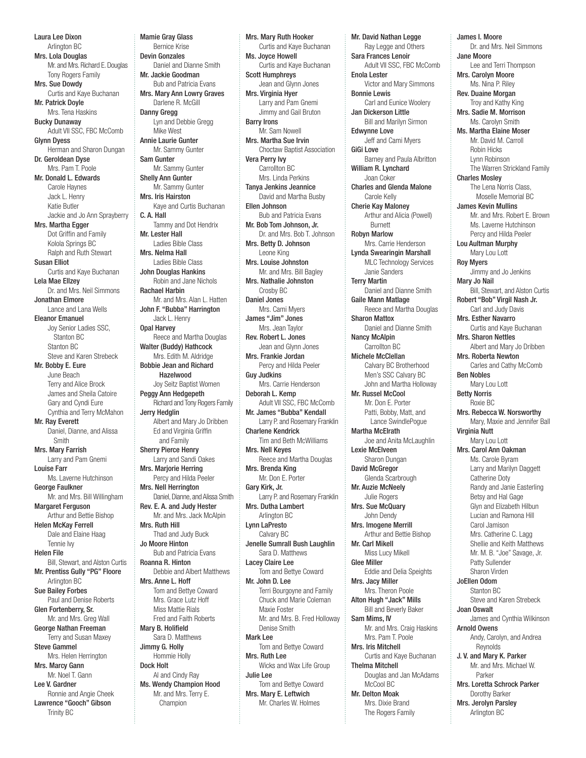Laura Lee Dixon Arlington BC Mrs. Lola Douglas Mr. and Mrs. Richard E. Douglas Tony Rogers Family Mrs. Sue Dowdy Curtis and Kaye Buchanan Mr. Patrick Doyle Mrs. Tena Haskins Bucky Dunaway Adult VII SSC, FBC McComb Glynn Dyess Herman and Sharon Dungan Dr. Geroldean Dyse Mrs. Pam T. Poole Mr. Donald L. Edwards Carole Haynes Jack L. Henry Katie Butler Jackie and Jo Ann Sprayberry Mrs. Martha Egger Dot Griffin and Family Kolola Springs BC Ralph and Ruth Stewart Susan Elliot Curtis and Kaye Buchanan Lela Mae Ellzey Dr. and Mrs. Neil Simmons Jonathan Elmore Lance and Lana Wells Eleanor Emanuel Joy Senior Ladies SSC, Stanton BC Stanton BC Steve and Karen Strebeck Mr. Bobby E. Eure June Beach Terry and Alice Brock James and Sheila Catoire Gary and Cyndi Eure Cynthia and Terry McMahon Mr. Ray Everett Daniel, Dianne, and Alissa Smith Mrs. Mary Farrish Larry and Pam Gnemi Louise Farr Ms. Laverne Hutchinson George Faulkner Mr. and Mrs. Bill Willingham Margaret Ferguson Arthur and Bettie Bishop Helen McKay Ferrell Dale and Elaine Haag Tennie Ivy Helen File Bill, Stewart, and Alston Curtis Mr. Prentiss Gully "PG" Floore Arlington BC Sue Bailey Forbes Paul and Denise Roberts Glen Fortenberry, Sr. Mr. and Mrs. Greg Wall George Nathan Freeman Terry and Susan Maxey Steve Gammel Mrs. Helen Herrington Mrs. Marcy Gann Mr. Noel T. Gann Lee V. Gardner Ronnie and Angie Cheek Lawrence "Gooch" Gibson Mamie Gray Glass Bernice Krise Devin Gonzales Daniel and Dianne Smith Mr. Jackie Goodman Bub and Patricia Evans Mrs. Mary Ann Lowry Graves Darlene R. McGill Danny Gregg Lyn and Debbie Gregg Mike West Annie Laurie Gunter Mr. Sammy Gunter Sam Gunter Mr. Sammy Gunter Shelly Ann Gunter Mr. Sammy Gunter Mrs. Iris Hairston Kaye and Curtis Buchanan C. A. Hall Tammy and Dot Hendrix Mr. Lester Hall Ladies Bible Class Mrs. Nelma Hall Ladies Bible Class John Douglas Hankins Robin and Jane Nichols Rachael Harbin Mr. and Mrs. Alan L. Hatten John F. "Bubba" Harrington Jack L. Henry Opal Harvey Reece and Martha Douglas Walter (Buddy) Hathcock Mrs. Edith M. Aldridge Bobbie Jean and Richard Hazelwood Joy Seitz Baptist Women Peggy Ann Hedgepeth Richard and Tony Rogers Family Jerry Hedglin Albert and Mary Jo Dribben Ed and Virginia Griffin and Family Sherry Pierce Henry Larry and Sandi Oakes Mrs. Marjorie Herring Percy and Hilda Peeler Mrs. Nell Herrington Daniel, Dianne, and Alissa Smith Rev. E. A. and Judy Hester Mr. and Mrs. Jack McAlpin Mrs. Ruth Hill Thad and Judy Buck Jo Moore Hinton Bub and Patricia Evans Roanna R. Hinton Debbie and Albert Matthews Mrs. Anne L. Hoff Tom and Bettye Coward Mrs. Grace Lutz Hoff Miss Mattie Rials Fred and Faith Roberts Mary B. Holifield Sara D. Matthews Jimmy G. Holly Hommie Holly Dock Holt Al and Cindy Ray Ms. Wendy Champion Hood Mr. and Mrs. Terry E. Champion

Trinity BC

Mrs. Mary Ruth Hooker Curtis and Kaye Buchanan Ms. Joyce Howell Curtis and Kaye Buchanan Scott Humphreys Jean and Glynn Jones Mrs. Virginia Hyer Larry and Pam Gnemi Jimmy and Gail Bruton Barry Irons Mr. Sam Nowell Mrs. Martha Sue Irvin Choctaw Baptist Association Vera Perry Ivy Carrollton BC Mrs. Linda Perkins Tanya Jenkins Jeannice David and Martha Busby Ellen Johnson Bub and Patricia Evans Mr. Bob Tom Johnson, Jr. Dr. and Mrs. Bob T. Johnson Mrs. Betty D. Johnson Leone King Mrs. Louise Johnston Mr. and Mrs. Bill Bagley Mrs. Nathalie Johnston Crosby BC Daniel Jones Mrs. Cami Myers James "Jim" Jones Mrs. Jean Taylor Rev. Robert L. Jones Jean and Glynn Jones Mrs. Frankie Jordan Percy and Hilda Peeler Guy Judkins Mrs. Carrie Henderson Deborah L. Kemp Adult VII SSC, FBC McComb Mr. James "Bubba" Kendall Larry P. and Rosemary Franklin Charlene Kendrick Tim and Beth McWilliams Mrs. Nell Keyes Reece and Martha Douglas Mrs. Brenda King Mr. Don E. Porter Gary Kirk, Jr. Larry P. and Rosemary Franklin Mrs. Dutha Lambert Arlington BC Lynn LaPresto Calvary BC Jenelle Sumrall Bush Laughlin Sara D. Matthews Lacey Claire Lee -<br>Tom and Bettve Coward Mr. John D. Lee Terri Bourgoyne and Family Chuck and Marie Coleman Maxie Foster Mr. and Mrs. B. Fred Holloway Denise Smith Mark Lee Tom and Bettye Coward Mrs. Ruth Lee Wicks and Wax Life Group Julie Lee Tom and Bettye Coward Mrs. Mary E. Leftwich Mr. Charles W. Holmes

Mr. David Nathan Legge Ray Legge and Others Sara Frances Lenoir Adult VII SSC, FBC McComb Enola Lester Victor and Mary Simmons Bonnie Lewis Carl and Eunice Woolery Jan Dickerson Little Bill and Marilyn Sirmon Edwynne Love Jeff and Cami Myers GiGi Love Barney and Paula Albritton William R. Lynchard Joan Coker Charles and Glenda Malone Carole Kelly Cherie Kay Maloney Arthur and Alicia (Powell) Burnett Robyn Marlow Mrs. Carrie Henderson Lynda Swearingin Marshall MLC Technology Services Janie Sanders Terry Martin Daniel and Dianne Smith Gaile Mann Matlage Reece and Martha Douglas Sharon Mattox Daniel and Dianne Smith Nancy McAlpin Carrollton BC Michele McClellan Calvary BC Brotherhood Men's SSC Calvary BC John and Martha Holloway Mr. Russel McCool Mr. Don E. Porter Patti, Bobby, Matt, and Lance SwindlePogue Martha McElrath Joe and Anita McLaughlin Lexie McElveen Sharon Dungan David McGregor Glenda Scarbrough Mr. Auzie McNeely Julie Rogers Mrs. Sue McQuary John Dendy Mrs. Imogene Merrill Arthur and Bettie Bishop Mr. Carl Mikell Miss Lucy Mikell Glee Miller Eddie and Delia Speights Mrs. Jacy Miller Mrs. Theron Poole Alton Hugh "Jack" Mills Bill and Beverly Baker Sam Mims, IV Mr. and Mrs. Craig Haskins Mrs. Pam T. Poole Mrs. Iris Mitchell Curtis and Kaye Buchanan Thelma Mitchell Douglas and Jan McAdams McCool BC Mr. Delton Moak Mrs. Dixie Brand The Rogers Family

James I. Moore Dr. and Mrs. Neil Simmons Jane Moore Lee and Terri Thompson Mrs. Carolyn Moore Ms. Nina P. Riley Rev. Duaine Morgan Troy and Kathy King Mrs. Sadie M. Morrison Ms. Carolyn Smith Ms. Martha Elaine Moser Mr. David M. Carroll Robin Hicks Lynn Robinson The Warren Strickland Family Charles Mosley The Lena Norris Class, Moselle Memorial BC James Kevin Mullins Mr. and Mrs. Robert E. Brown Ms. Laverne Hutchinson Percy and Hilda Peeler Lou Aultman Murphy Mary Lou Lott Roy Myers Jimmy and Jo Jenkins Mary Jo Nail Bill, Stewart, and Alston Curtis Robert "Bob" Virgil Nash Jr. Carl and Judy Davis Mrs. Esther Navarro Curtis and Kaye Buchanan Mrs. Sharon Nettles Albert and Mary Jo Dribben Mrs. Roberta Newton Carles and Cathy McComb Ben Nobles Mary Lou Lott Betty Norris Roxie BC Mrs. Rebecca W. Norsworthy Mary, Maxie and Jennifer Ball Virginia Nutt Mary Lou Lott Mrs. Carol Ann Oakman Ms. Carole Byram Larry and Marilyn Daggett Catherine Doty Randy and Janie Easterling Betsy and Hal Gage Glyn and Elizabeth Hilbun Lucian and Ramona Hill Carol Jamison Mrs. Catherine C. Lagg Shellie and Keith Matthews Mr. M. B. "Joe" Savage, Jr. Patty Sullender Sharon Virden JoEllen Odom Stanton BC Steve and Karen Strebeck Joan Oswalt James and Cynthia Wilkinson Arnold Owens Andy, Carolyn, and Andrea Reynolds J. V. and Mary K. Parker Mr. and Mrs. Michael W. Parker Mrs. Loretta Schrock Parker Dorothy Barker Mrs. Jerolyn Parsley Arlington BC